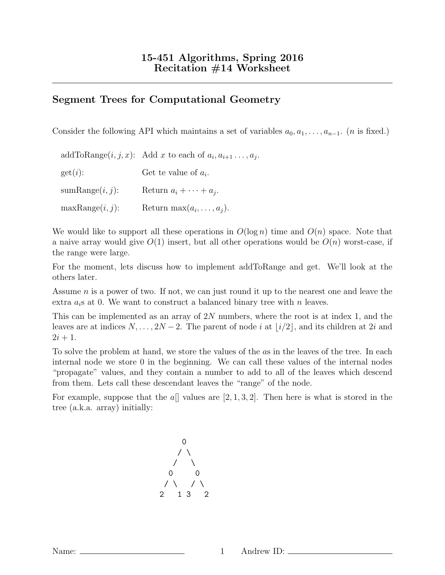## Segment Trees for Computational Geometry

Consider the following API which maintains a set of variables  $a_0, a_1, \ldots, a_{n-1}$ . (*n* is fixed.)

|                    | addToRange $(i, j, x)$ : Add x to each of $a_i, a_{i+1}, \ldots, a_j$ . |
|--------------------|-------------------------------------------------------------------------|
| get(i):            | Get te value of $a_i$ .                                                 |
| $sumRange(i, j)$ : | Return $a_i + \cdots + a_j$ .                                           |
| maxRange(i, j):    | Return max $(a_i, \ldots, a_j)$ .                                       |

We would like to support all these operations in  $O(\log n)$  time and  $O(n)$  space. Note that a naive array would give  $O(1)$  insert, but all other operations would be  $O(n)$  worst-case, if the range were large.

For the moment, lets discuss how to implement addToRange and get. We'll look at the others later.

Assume n is a power of two. If not, we can just round it up to the nearest one and leave the extra  $a_i$ s at 0. We want to construct a balanced binary tree with n leaves.

This can be implemented as an array of 2N numbers, where the root is at index 1, and the leaves are at indices  $N, \ldots, 2N-2$ . The parent of node i at  $\lfloor i/2 \rfloor$ , and its children at 2i and  $2i + 1$ .

To solve the problem at hand, we store the values of the as in the leaves of the tree. In each internal node we store 0 in the beginning. We can call these values of the internal nodes "propagate" values, and they contain a number to add to all of the leaves which descend from them. Lets call these descendant leaves the "range" of the node.

For example, suppose that the  $a\parallel$  values are [2, 1, 3, 2]. Then here is what is stored in the tree (a.k.a. array) initially: